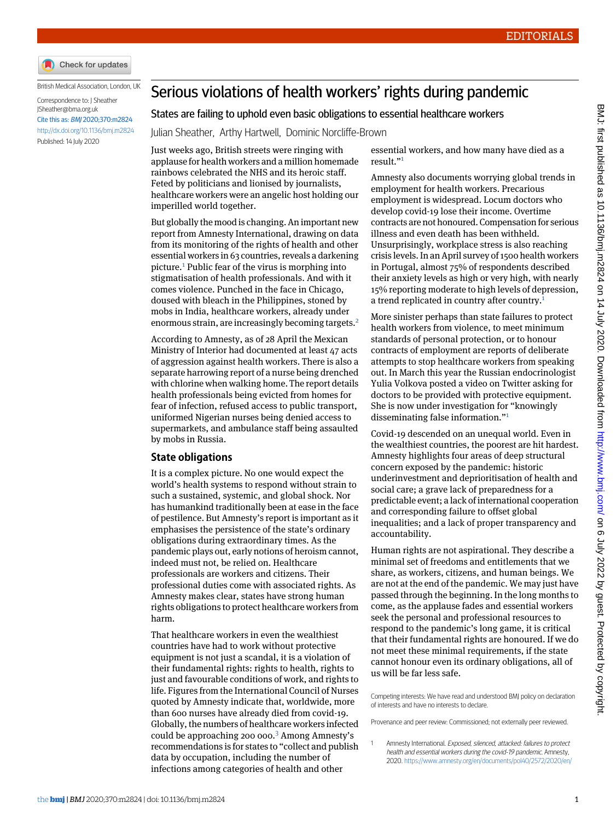

British Medical Association, London, UK

```
Correspondence to: J Sheather
JSheather@bma.org.uk
Cite this as: BMJ 2020;370:m2824
http://dx.doi.org/10.1136/bmj.m2824
Published: 14 July 2020
```
## Serious violations of health workers' rights during pandemic

## States are failing to uphold even basic obligations to essential healthcare workers

Julian Sheather, Arthy Hartwell, Dominic Norcliffe-Brown

Just weeks ago, British streets were ringing with applause for health workers and a million homemade rainbows celebrated the NHS and its heroic staff. Feted by politicians and lionised by journalists, healthcare workers were an angelic host holding our imperilled world together.

But globally the mood is changing. An important new report from Amnesty International, drawing on data from its monitoring of the rights of health and other essential workers in 63 countries, reveals a darkening picture.[1](#page-0-0) Public fear of the virus is morphing into stigmatisation of health professionals. And with it comes violence. Punched in the face in Chicago, doused with bleach in the Philippines, stoned by mobs in India, healthcare workers, already under enormous strain, are increasingly becoming targets.[2](#page-1-0)

According to Amnesty, as of 28 April the Mexican Ministry of Interior had documented at least 47 acts of aggression against health workers. There is also a separate harrowing report of a nurse being drenched with chlorine when walking home. The report details health professionals being evicted from homes for fear of infection, refused access to public transport, uniformed Nigerian nurses being denied access to supermarkets, and ambulance staff being assaulted by mobs in Russia.

## **State obligations**

It is a complex picture. No one would expect the world's health systems to respond without strain to such a sustained, systemic, and global shock. Nor has humankind traditionally been at ease in the face of pestilence. But Amnesty's report is important as it emphasises the persistence of the state's ordinary obligations during extraordinary times. As the pandemic plays out, early notions of heroism cannot, indeed must not, be relied on. Healthcare professionals are workers and citizens. Their professional duties come with associated rights. As Amnesty makes clear, states have strong human rights obligations to protect healthcare workers from harm.

That healthcare workers in even the wealthiest countries have had to work without protective equipment is not just a scandal, it is a violation of their fundamental rights: rights to health, rights to just and favourable conditions of work, and rights to life. Figures from the International Council of Nurses quoted by Amnesty indicate that, worldwide, more than 600 nurses have already died from covid-19. Globally, the numbers of healthcare workers infected could be approaching 200 000.[3](#page-1-1) Among Amnesty's recommendations is for states to "collect and publish data by occupation, including the number of infections among categories of health and other

essential workers, and how many have died as a result." [1](#page-0-0)

Amnesty also documents worrying global trends in employment for health workers. Precarious employment is widespread. Locum doctors who develop covid-19 lose their income. Overtime contracts are not honoured. Compensation for serious illness and even death has been withheld. Unsurprisingly, workplace stress is also reaching crisis levels. In an April survey of 1500 health workers in Portugal, almost 75% of respondents described their anxiety levels as high or very high, with nearly 15% reporting moderate to high levels of depression, a trend replicated in country after country.<sup>[1](#page-0-0)</sup>

More sinister perhaps than state failures to protect health workers from violence, to meet minimum standards of personal protection, or to honour contracts of employment are reports of deliberate attempts to stop healthcare workers from speaking out. In March this year the Russian endocrinologist Yulia Volkova posted a video on Twitter asking for doctors to be provided with protective equipment. She is now under investigation for "knowingly disseminating false information." [1](#page-0-0)

Covid-19 descended on an unequal world. Even in the wealthiest countries, the poorest are hit hardest. Amnesty highlights four areas of deep structural concern exposed by the pandemic: historic underinvestment and deprioritisation of health and social care; a grave lack of preparedness for a predictable event; a lack of international cooperation and corresponding failure to offset global inequalities; and a lack of proper transparency and accountability.

Human rights are not aspirational. They describe a minimal set of freedoms and entitlements that we share, as workers, citizens, and human beings. We are not at the end of the pandemic. We may just have passed through the beginning. In the long months to come, as the applause fades and essential workers seek the personal and professional resources to respond to the pandemic's long game, it is critical that their fundamental rights are honoured. If we do not meet these minimal requirements, if the state cannot honour even its ordinary obligations, all of us will be far less safe.

<span id="page-0-0"></span>Competing interests: We have read and understood BMJ policy on declaration of interests and have no interests to declare.

Provenance and peer review: Commissioned; not externally peer reviewed.

Amnesty International. Exposed, silenced, attacked: failures to protect health and essential workers during the covid-19 pandemic. Amnesty, 2020. <https://www.amnesty.org/en/documents/pol40/2572/2020/en/>